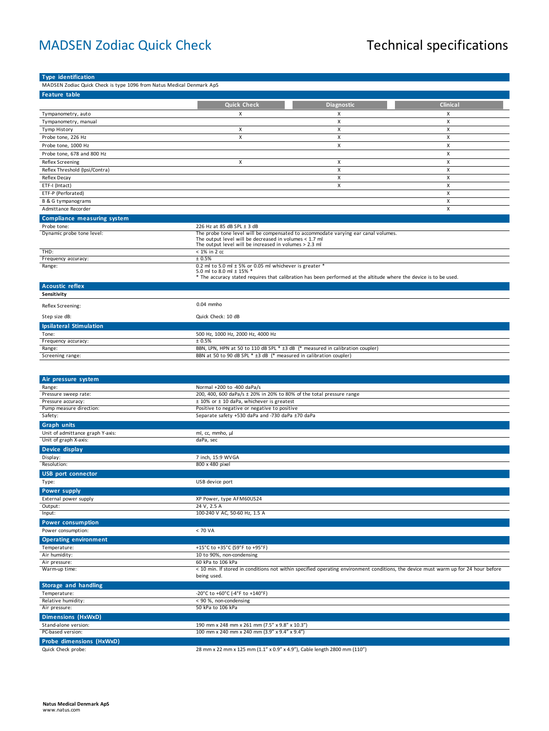## MADSEN Zodiac Quick Check Technical specifications

| <b>Type identification</b>                                            |                                                                                                                    |                                                                                                                    |                                                                                                                                     |
|-----------------------------------------------------------------------|--------------------------------------------------------------------------------------------------------------------|--------------------------------------------------------------------------------------------------------------------|-------------------------------------------------------------------------------------------------------------------------------------|
| MADSEN Zodiac Quick Check is type 1096 from Natus Medical Denmark ApS |                                                                                                                    |                                                                                                                    |                                                                                                                                     |
| <b>Feature table</b>                                                  |                                                                                                                    |                                                                                                                    |                                                                                                                                     |
|                                                                       | <b>Quick Check</b>                                                                                                 |                                                                                                                    | <b>Clinical</b>                                                                                                                     |
|                                                                       |                                                                                                                    | Diagnostic                                                                                                         |                                                                                                                                     |
| Tympanometry, auto                                                    | Х                                                                                                                  | х                                                                                                                  | х                                                                                                                                   |
| Tympanometry, manual                                                  |                                                                                                                    | X                                                                                                                  | X                                                                                                                                   |
| Tymp History                                                          | x                                                                                                                  | Χ                                                                                                                  | x                                                                                                                                   |
| Probe tone, 226 Hz                                                    | X                                                                                                                  | X                                                                                                                  | x                                                                                                                                   |
| Probe tone, 1000 Hz                                                   |                                                                                                                    | X                                                                                                                  | x                                                                                                                                   |
| Probe tone, 678 and 800 Hz                                            |                                                                                                                    |                                                                                                                    | X                                                                                                                                   |
| Reflex Screening                                                      | X                                                                                                                  | X                                                                                                                  | X                                                                                                                                   |
| Reflex Threshold (Ipsi/Contra)                                        |                                                                                                                    | X                                                                                                                  | x                                                                                                                                   |
| Reflex Decay                                                          |                                                                                                                    | X                                                                                                                  | x                                                                                                                                   |
| ETF-I (Intact)                                                        |                                                                                                                    | X                                                                                                                  | x                                                                                                                                   |
| ETF-P (Perforated)                                                    |                                                                                                                    |                                                                                                                    | X                                                                                                                                   |
| B & G tympanograms                                                    |                                                                                                                    |                                                                                                                    | x                                                                                                                                   |
| Admittance Recorder                                                   |                                                                                                                    |                                                                                                                    | x                                                                                                                                   |
| Compliance measuring system                                           |                                                                                                                    |                                                                                                                    |                                                                                                                                     |
| Probe tone:                                                           | 226 Hz at 85 dB SPL ± 3 dB                                                                                         |                                                                                                                    |                                                                                                                                     |
| Dynamic probe tone level:                                             |                                                                                                                    | The probe tone level will be compensated to accommodate varying ear canal volumes.                                 |                                                                                                                                     |
|                                                                       | The output level will be decreased in volumes $<$ 1.7 ml<br>The output level will be increased in volumes > 2.3 ml |                                                                                                                    |                                                                                                                                     |
| THD:                                                                  | $< 1\%$ in 2 cc                                                                                                    |                                                                                                                    |                                                                                                                                     |
| Frequency accuracy:                                                   | $\pm$ 0.5%                                                                                                         |                                                                                                                    |                                                                                                                                     |
| Range:                                                                | 0.2 ml to 5.0 ml $\pm$ 5% or 0.05 ml whichever is greater *                                                        |                                                                                                                    |                                                                                                                                     |
|                                                                       | 5.0 ml to 8.0 ml ± 15% *                                                                                           |                                                                                                                    |                                                                                                                                     |
|                                                                       |                                                                                                                    | * The accuracy stated requires that calibration has been performed at the altitude where the device is to be used. |                                                                                                                                     |
| <b>Acoustic reflex</b>                                                |                                                                                                                    |                                                                                                                    |                                                                                                                                     |
| Sensitivity                                                           |                                                                                                                    |                                                                                                                    |                                                                                                                                     |
| Reflex Screening:                                                     | 0.04 mmho                                                                                                          |                                                                                                                    |                                                                                                                                     |
|                                                                       |                                                                                                                    |                                                                                                                    |                                                                                                                                     |
| Step size dB:                                                         | Quick Check: 10 dB                                                                                                 |                                                                                                                    |                                                                                                                                     |
| <b>Ipsilateral Stimulation</b>                                        |                                                                                                                    |                                                                                                                    |                                                                                                                                     |
| Tone:                                                                 | 500 Hz, 1000 Hz, 2000 Hz, 4000 Hz                                                                                  |                                                                                                                    |                                                                                                                                     |
| Frequency accuracy:                                                   | ± 0.5%                                                                                                             |                                                                                                                    |                                                                                                                                     |
| Range:                                                                |                                                                                                                    | BBN, LPN, HPN at 50 to 110 dB SPL * ±3 dB (* measured in calibration coupler)                                      |                                                                                                                                     |
| Screening range:                                                      | BBN at 50 to 90 dB SPL * ±3 dB (* measured in calibration coupler)                                                 |                                                                                                                    |                                                                                                                                     |
|                                                                       |                                                                                                                    |                                                                                                                    |                                                                                                                                     |
|                                                                       |                                                                                                                    |                                                                                                                    |                                                                                                                                     |
| Air pressure system                                                   |                                                                                                                    |                                                                                                                    |                                                                                                                                     |
| Range:                                                                | Normal +200 to -400 daPa/s                                                                                         |                                                                                                                    |                                                                                                                                     |
| Pressure sweep rate:                                                  | 200, 400, 600 daPa/s $\pm$ 20% in 20% to 80% of the total pressure range                                           |                                                                                                                    |                                                                                                                                     |
| Pressure accuracy:                                                    | ± 10% or ± 10 daPa, whichever is greatest                                                                          |                                                                                                                    |                                                                                                                                     |
| Pump measure direction:<br>Safety:                                    | Positive to negative or negative to positive<br>Separate safety +530 daPa and -730 daPa ±70 daPa                   |                                                                                                                    |                                                                                                                                     |
|                                                                       |                                                                                                                    |                                                                                                                    |                                                                                                                                     |
| <b>Graph units</b>                                                    |                                                                                                                    |                                                                                                                    |                                                                                                                                     |
| Unit of admittance graph Y-axis:                                      | ml, cc, mmho, µl                                                                                                   |                                                                                                                    |                                                                                                                                     |
| Unit of graph X-axis:                                                 | daPa, sec                                                                                                          |                                                                                                                    |                                                                                                                                     |
| Device display                                                        |                                                                                                                    |                                                                                                                    |                                                                                                                                     |
| Display:                                                              | 7 inch, 15:9 WVGA                                                                                                  |                                                                                                                    |                                                                                                                                     |
| Resolution:                                                           | 800 x 480 pixel                                                                                                    |                                                                                                                    |                                                                                                                                     |
| <b>USB</b> port connector                                             |                                                                                                                    |                                                                                                                    |                                                                                                                                     |
| Type:                                                                 | USB device port                                                                                                    |                                                                                                                    |                                                                                                                                     |
| <b>Power supply</b>                                                   |                                                                                                                    |                                                                                                                    |                                                                                                                                     |
| External power supply                                                 | XP Power, type AFM60US24                                                                                           |                                                                                                                    |                                                                                                                                     |
| Output:                                                               | 24 V, 2.5 A                                                                                                        |                                                                                                                    |                                                                                                                                     |
| Input:                                                                | 100-240 V AC, 50-60 Hz, 1.5 A                                                                                      |                                                                                                                    |                                                                                                                                     |
| <b>Power consumption</b>                                              |                                                                                                                    |                                                                                                                    |                                                                                                                                     |
| Power consumption:                                                    | < 70 VA                                                                                                            |                                                                                                                    |                                                                                                                                     |
| <b>Operating environment</b>                                          |                                                                                                                    |                                                                                                                    |                                                                                                                                     |
| Temperature:                                                          | +15°C to +35°C (59°F to +95°F)                                                                                     |                                                                                                                    |                                                                                                                                     |
| Air humidity:                                                         | 10 to 90%, non-condensing                                                                                          |                                                                                                                    |                                                                                                                                     |
| Air pressure:                                                         | 60 kPa to 106 kPa                                                                                                  |                                                                                                                    |                                                                                                                                     |
| Warm-up time:                                                         |                                                                                                                    |                                                                                                                    | < 10 min. If stored in conditions not within specified operating environment conditions, the device must warm up for 24 hour before |
|                                                                       | being used.                                                                                                        |                                                                                                                    |                                                                                                                                     |
| Storage and handling                                                  |                                                                                                                    |                                                                                                                    |                                                                                                                                     |
| Temperature:                                                          | -20°C to +60°C (-4°F to +140°F)                                                                                    |                                                                                                                    |                                                                                                                                     |
| Relative humidity:                                                    | < 90 %, non-condensing                                                                                             |                                                                                                                    |                                                                                                                                     |
| Air pressure:                                                         | 50 kPa to 106 kPa                                                                                                  |                                                                                                                    |                                                                                                                                     |
| <b>Dimensions (HxWxD)</b>                                             |                                                                                                                    |                                                                                                                    |                                                                                                                                     |
| Stand-alone version:                                                  | 190 mm x 248 mm x 261 mm (7.5" x 9.8" x 10.3")                                                                     |                                                                                                                    |                                                                                                                                     |
| PC-based version:                                                     | 100 mm x 240 mm x 240 mm (3.9" x 9.4" x 9.4")                                                                      |                                                                                                                    |                                                                                                                                     |
| Probe dimensions (HxWxD)                                              |                                                                                                                    |                                                                                                                    |                                                                                                                                     |
|                                                                       |                                                                                                                    |                                                                                                                    |                                                                                                                                     |

Quick Check probe: 28 mm x 22 mm x 125 mm (1.1" x 0.9" x 4.9"), Cable length 2800 mm (110")